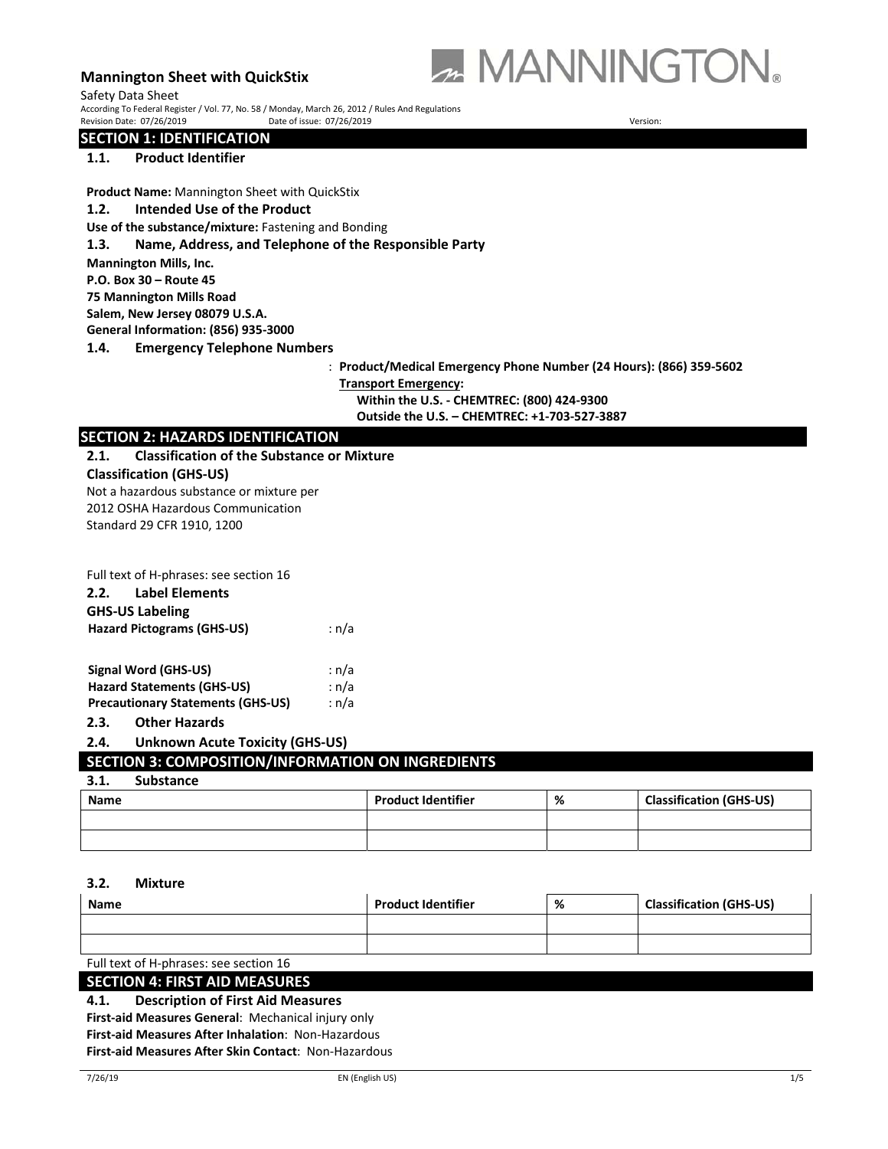

 ${\sf Safety \; Data \; Sheet}$   $\sf{D}_{\sf C}$   $\sf{C}$   $\sf{C}$   $\sf{C}$  and  $\sf{C}$   $\sf{C}$   $\sf{C}$   $\sf{C}$   $\sf{C}$   $\sf{C}$   $\sf{C}$   $\sf{C}$   $\sf{C}$   $\sf{C}$   $\sf{C}$   $\sf{C}$   $\sf{C}$   $\sf{C}$   $\sf{C}$   $\sf{C}$   $\sf{C}$   $\sf{C}$   $\sf{C}$   $\sf{C}$   $\sf{C}$  Revision Date: 07/26/2019 **Date of issue: 07/26/2019 Date of issue: 07/26/2019 Date of issue: 07/26/2019** 

**SECTION 1: IDENTIFICATION** 

## **1.1. Product Identifier**

**Product Name:** Mannington Sheet with QuickStix

**1.2. Intended Use of the Product**

**Use of the substance/mixture:** Fastening and Bonding

#### **1.3. Name, Address, and Telephone of the Responsible Party**

**Mannington Mills, Inc.** 

**P.O. Box 30 – Route 45** 

**75 Mannington Mills Road** 

**Salem, New Jersey 08079 U.S.A.** 

**General Information: (856) 935‐3000** 

**1.4. Emergency Telephone Numbers**

: **Product/Medical Emergency Phone Number (24 Hours): (866) 359‐5602** 

**Transport Emergency:** 

**Within the U.S. ‐ CHEMTREC: (800) 424‐9300 Outside the U.S. – CHEMTREC: +1‐703‐527‐3887** 

## **SECTION 2: HAZARDS IDENTIFICATION**

#### **2.1. Classification of the Substance or Mixture**

**Classification (GHS‐US)**  Not a hazardous substance or mixture per 2012 OSHA Hazardous Communication Standard 29 CFR 1910, 1200

| Full text of H-phrases: see section 16<br><b>Label Elements</b><br>2.2.<br><b>GHS-US Labeling</b><br><b>Hazard Pictograms (GHS-US)</b> | : n/a                   |
|----------------------------------------------------------------------------------------------------------------------------------------|-------------------------|
| Signal Word (GHS-US)<br><b>Hazard Statements (GHS-US)</b><br><b>Precautionary Statements (GHS-US)</b><br><b>Other Hazards</b><br>2.3.  | : n/a<br>: n/a<br>: n/a |

## **2.4. Unknown Acute Toxicity (GHS‐US)**

## **SECTION 3: COMPOSITION/INFORMATION ON INGREDIENTS**

#### **3.1. Substance**

| <b>Name</b> | <b>Product Identifier</b> | % | <b>Classification (GHS-US)</b> |
|-------------|---------------------------|---|--------------------------------|
|             |                           |   |                                |
|             |                           |   |                                |

#### **3.2. Mixture**

| <b>Name</b>                            | <b>Product Identifier</b> | % | <b>Classification (GHS-US)</b> |
|----------------------------------------|---------------------------|---|--------------------------------|
|                                        |                           |   |                                |
|                                        |                           |   |                                |
| Full text of H-phrases: see section 16 |                           |   |                                |

## **SECTION 4: FIRST AID MEASURES**

**4.1. Description of First Aid Measures**

**First‐aid Measures General**: Mechanical injury only **First‐aid Measures After Inhalation**: Non‐Hazardous **First‐aid Measures After Skin Contact**: Non‐Hazardous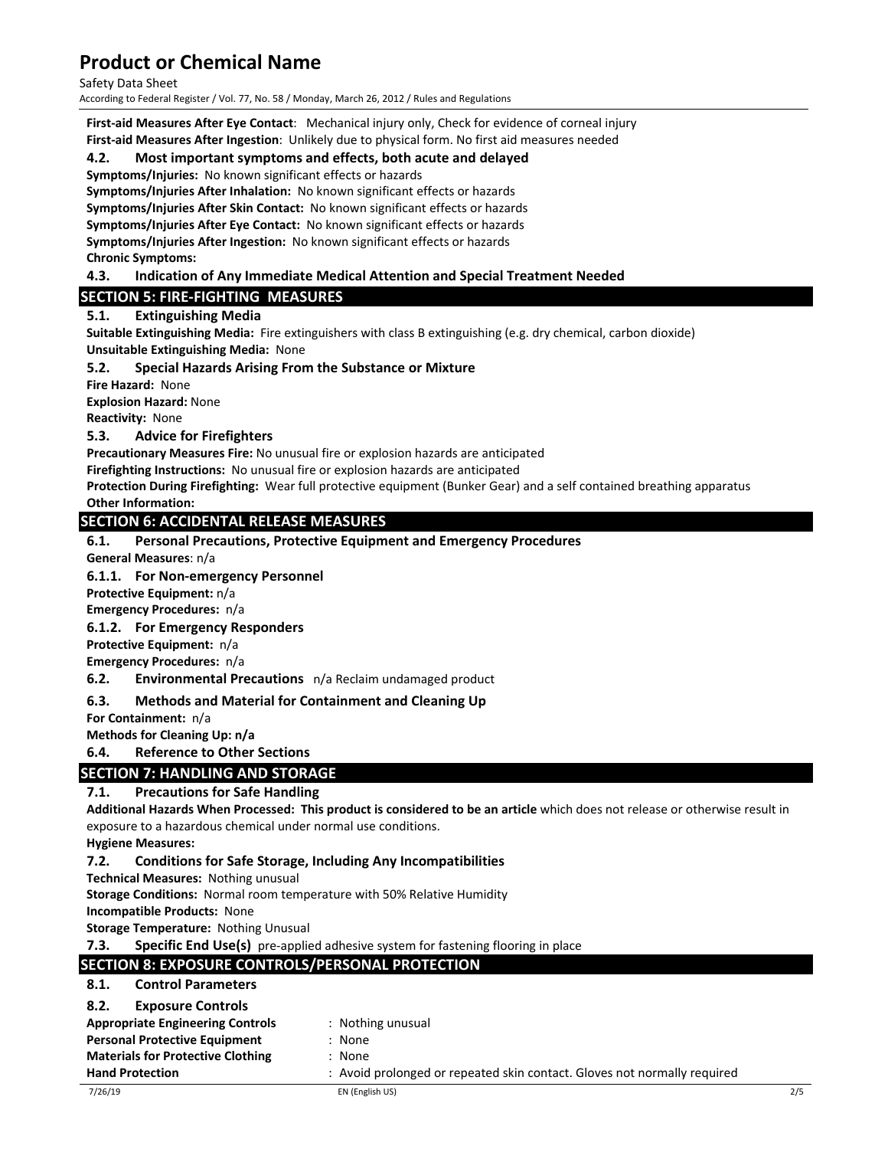Safety Data Sheet

According to Federal Register / Vol. 77, No. 58 / Monday, March 26, 2012 / Rules and Regulations

**First‐aid Measures After Eye Contact**: Mechanical injury only, Check for evidence of corneal injury **First‐aid Measures After Ingestion**: Unlikely due to physical form. No first aid measures needed

## **4.2. Most important symptoms and effects, both acute and delayed**

**Symptoms/Injuries:** No known significant effects or hazards

Symptoms/Injuries After Inhalation: No known significant effects or hazards **Symptoms/Injuries After Skin Contact:** No known significant effects or hazards **Symptoms/Injuries After Eye Contact:** No known significant effects or hazards Symptoms/Injuries After Ingestion: No known significant effects or hazards **Chronic Symptoms:** 

## **4.3. Indication of Any Immediate Medical Attention and Special Treatment Needed**

## **SECTION 5: FIRE‐FIGHTING MEASURES**

## **5.1. Extinguishing Media**

**Suitable Extinguishing Media:** Fire extinguishers with class B extinguishing (e.g. dry chemical, carbon dioxide) **Unsuitable Extinguishing Media:** None

## **5.2. Special Hazards Arising From the Substance or Mixture**

**Fire Hazard:**  None

**Explosion Hazard:** None

**Reactivity: None** 

## **5.3. Advice for Firefighters**

**Precautionary Measures Fire:** No unusual fire or explosion hazards are anticipated

Firefighting Instructions: No unusual fire or explosion hazards are anticipated

**Protection During Firefighting:** Wear full protective equipment (Bunker Gear) and a self contained breathing apparatus **Other Information:** 

## **SECTION 6: ACCIDENTAL RELEASE MEASURES**

## **6.1. Personal Precautions, Protective Equipment and Emergency Procedures**

**General Measures**: n/a

## **6.1.1. For Non‐emergency Personnel**

**Protective Equipment:** n/a

**Emergency Procedures:** n/a

## **6.1.2. For Emergency Responders**

**Protective Equipment:** n/a

**Emergency Procedures:** n/a

**6.2. Environmental Precautions**  n/a Reclaim undamaged product

## **6.3. Methods and Material for Containment and Cleaning Up**

**For Containment:** n/a

**Methods for Cleaning Up: n/a**

## **6.4. Reference to Other Sections**

## **SECTION 7: HANDLING AND STORAGE**

## **7.1. Precautions for Safe Handling**

**Additional Hazards When Processed: This product is considered to be an article** which does not release or otherwise result in exposure to a hazardous chemical under normal use conditions.

**Hygiene Measures:**

## **7.2. Conditions for Safe Storage, Including Any Incompatibilities**

**Technical Measures:** Nothing unusual

**Storage Conditions:** Normal room temperature with 50% Relative Humidity

**Incompatible Products:** None

**Storage Temperature:** Nothing Unusual

**7.3.** Specific End Use(s) pre-applied adhesive system for fastening flooring in place

## **SECTION 8: EXPOSURE CONTROLS/PERSONAL PROTECTION**

## **8.1. Control Parameters**

## **8.2. Exposure Controls**

| <b>Appropriate Engineering Controls</b> | : Nothing unusual |
|-----------------------------------------|-------------------|
|-----------------------------------------|-------------------|

- **Personal Protective Equipment : None**
- **Materials for Protective Clothing**  $\cdot$  **: None**
- **Hand Protection 1992 10 COVER 12 COVER 12 COVER 12 COVER 12 COVER 12 COVER 12 COVER 12 COVER 12 COVER 12 COVER 12 COVER 12 COVER 12 COVER 12 COVER 12 COVER 12 COVER 12 COVER 12 COVER 12 COVER 12 COVER 12 COVER 12 COVE**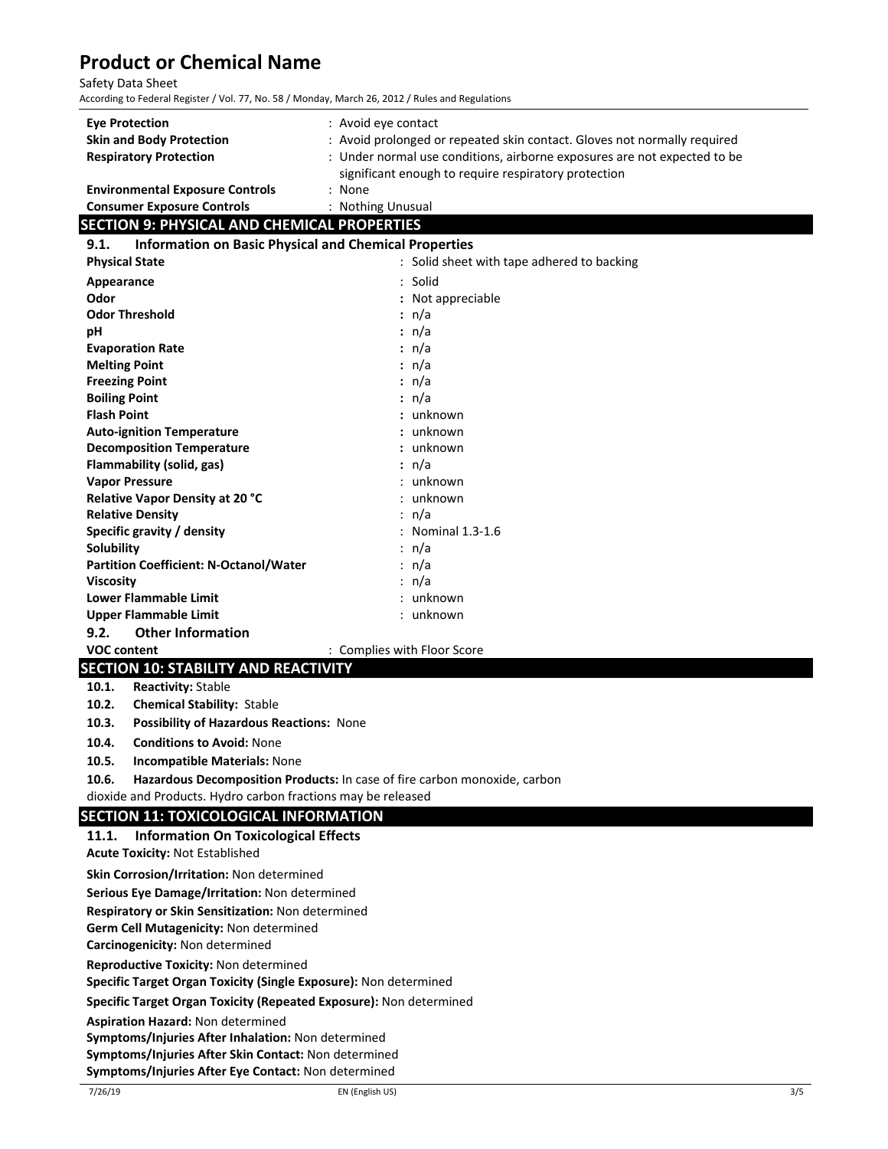#### Safety Data Sheet

According to Federal Register / Vol. 77, No. 58 / Monday, March 26, 2012 / Rules and Regulations

| <b>Eye Protection</b><br><b>Skin and Body Protection</b><br><b>Respiratory Protection</b> | : Avoid eye contact<br>: Avoid prolonged or repeated skin contact. Gloves not normally required<br>: Under normal use conditions, airborne exposures are not expected to be<br>significant enough to require respiratory protection |
|-------------------------------------------------------------------------------------------|-------------------------------------------------------------------------------------------------------------------------------------------------------------------------------------------------------------------------------------|
| <b>Environmental Exposure Controls</b>                                                    | : None                                                                                                                                                                                                                              |
| <b>Consumer Exposure Controls</b>                                                         | : Nothing Unusual                                                                                                                                                                                                                   |

## **SECTION 9: PHYSICAL AND CHEMICAL PROPERTIES**

| <b>Information on Basic Physical and Chemical Properties</b><br>9.1. |                                            |  |  |
|----------------------------------------------------------------------|--------------------------------------------|--|--|
| <b>Physical State</b>                                                | : Solid sheet with tape adhered to backing |  |  |
| Appearance                                                           | : Solid                                    |  |  |
| Odor                                                                 | : Not appreciable                          |  |  |
| <b>Odor Threshold</b>                                                | : n/a                                      |  |  |
| рH                                                                   | : n/a                                      |  |  |
| <b>Evaporation Rate</b>                                              | $: \mathsf{n}/\mathsf{a}$                  |  |  |
| <b>Melting Point</b>                                                 | $: \mathsf{n}/\mathsf{a}$                  |  |  |
| <b>Freezing Point</b>                                                | : $n/a$                                    |  |  |
| <b>Boiling Point</b>                                                 | $: \mathsf{n}/\mathsf{a}$                  |  |  |
| <b>Flash Point</b>                                                   | : unknown                                  |  |  |
| <b>Auto-ignition Temperature</b>                                     | : unknown                                  |  |  |
| <b>Decomposition Temperature</b>                                     | : unknown                                  |  |  |
| Flammability (solid, gas)                                            | : n/a                                      |  |  |
| <b>Vapor Pressure</b>                                                | : unknown                                  |  |  |
| <b>Relative Vapor Density at 20 °C</b>                               | : unknown                                  |  |  |
| <b>Relative Density</b>                                              | : n/a                                      |  |  |
| Specific gravity / density                                           | : Nominal $1.3-1.6$                        |  |  |
| Solubility                                                           | : n/a                                      |  |  |
| <b>Partition Coefficient: N-Octanol/Water</b>                        | : n/a                                      |  |  |
| <b>Viscosity</b>                                                     | : n/a                                      |  |  |
| <b>Lower Flammable Limit</b>                                         | : unknown                                  |  |  |
| Upper Flammable Limit                                                | : unknown                                  |  |  |
| <b>Other Information</b><br>9.2.                                     |                                            |  |  |
| <b>VOC content</b>                                                   | : Complies with Floor Score                |  |  |

## **SECTION 10: STABILITY AND REACTIVITY**

- **10.1. Reactivity:** Stable
- **10.2. Chemical Stability:** Stable
- **10.3. Possibility of Hazardous Reactions:** None
- **10.4. Conditions to Avoid:** None
- **10.5. Incompatible Materials:** None
- **10.6. Hazardous Decomposition Products:** In case of fire carbon monoxide, carbon

dioxide and Products. Hydro carbon fractions may be released

#### **SECTION 11: TOXICOLOGICAL INFORMATION**

| 11.1. Information On Toxicological Effects<br><b>Acute Toxicity: Not Established</b> |  |  |  |
|--------------------------------------------------------------------------------------|--|--|--|
|                                                                                      |  |  |  |
| Skin Corrosion/Irritation: Non determined                                            |  |  |  |
| Serious Eye Damage/Irritation: Non determined                                        |  |  |  |
| Respiratory or Skin Sensitization: Non determined                                    |  |  |  |
| <b>Germ Cell Mutagenicity: Non determined</b>                                        |  |  |  |
| Carcinogenicity: Non determined                                                      |  |  |  |
| <b>Reproductive Toxicity: Non determined</b>                                         |  |  |  |
| Specific Target Organ Toxicity (Single Exposure): Non determined                     |  |  |  |
| Specific Target Organ Toxicity (Repeated Exposure): Non determined                   |  |  |  |
| <b>Aspiration Hazard: Non determined</b>                                             |  |  |  |
| Symptoms/Injuries After Inhalation: Non determined                                   |  |  |  |
| Symptoms/Injuries After Skin Contact: Non determined                                 |  |  |  |
| Symptoms/Injuries After Eye Contact: Non determined                                  |  |  |  |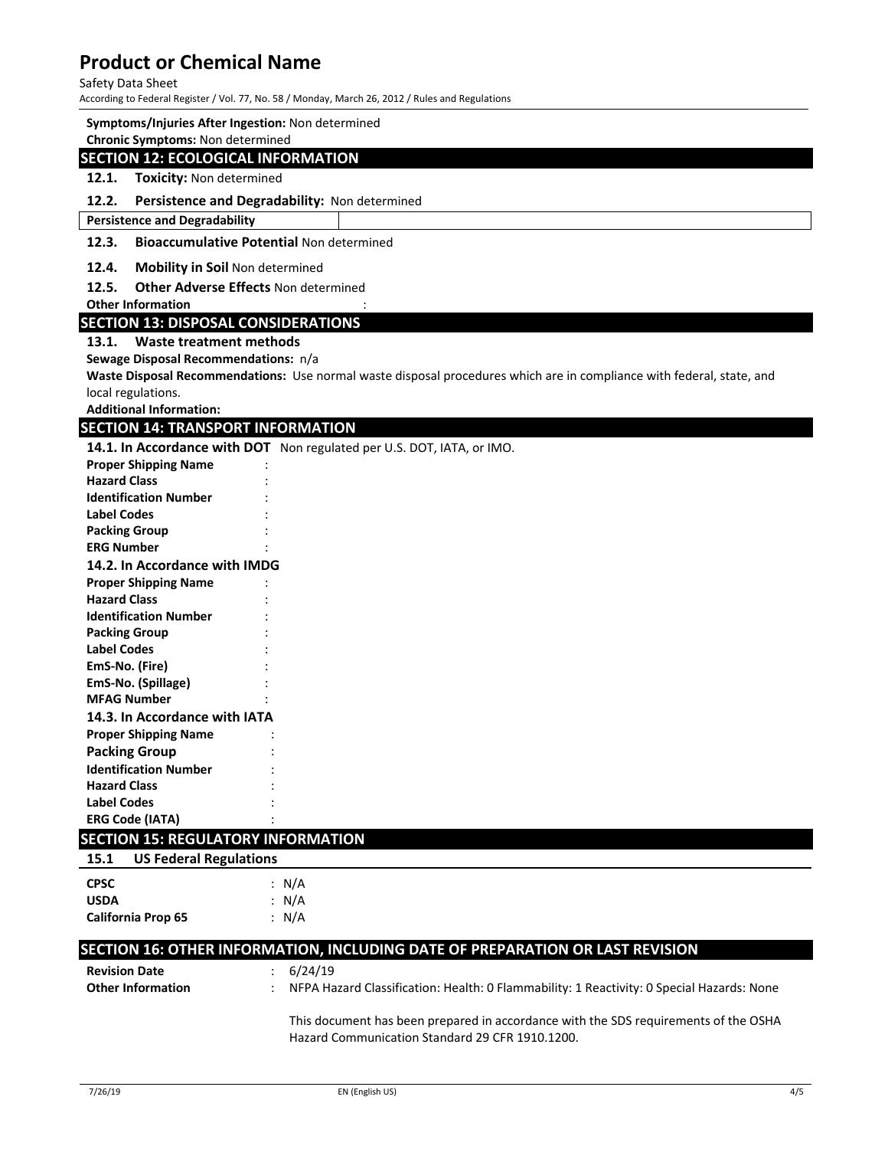#### Safety Data Sheet

According to Federal Register / Vol. 77, No. 58 / Monday, March 26, 2012 / Rules and Regulations

#### **Symptoms/Injuries After Ingestion:** Non determined

**Chronic Symptoms:** Non determined

#### **SECTION 12: ECOLOGICAL INFORMATION**

## **12.1. Toxicity:** Non determined

## **12.2. Persistence and Degradability:** Non determined

**Persistence and Degradability** 

#### **12.3. Bioaccumulative Potential** Non determined

#### **12.4. Mobility in Soil** Non determined

## **12.5. Other Adverse Effects** Non determined

**Other Information** 

#### **SECTION 13: DISPOSAL CONSIDERATIONS**

#### **13.1. Waste treatment methods**

**Sewage Disposal Recommendations:** n/a

**Waste Disposal Recommendations:** Use normal waste disposal procedures which are in compliance with federal, state, and local regulations.

**Additional Information:**

#### **SECTION 14: TRANSPORT INFORMATION**

**14.1. In Accordance with DOT** Non regulated per U.S. DOT, IATA, or IMO.

| <b>Proper Shipping Name</b>   |  |  |  |
|-------------------------------|--|--|--|
| <b>Hazard Class</b>           |  |  |  |
| <b>Identification Number</b>  |  |  |  |
| <b>Label Codes</b>            |  |  |  |
| <b>Packing Group</b>          |  |  |  |
| <b>ERG Number</b>             |  |  |  |
| 14.2. In Accordance with IMDG |  |  |  |
| <b>Proper Shipping Name</b>   |  |  |  |
| <b>Hazard Class</b>           |  |  |  |
| <b>Identification Number</b>  |  |  |  |
| <b>Packing Group</b>          |  |  |  |
| <b>Label Codes</b>            |  |  |  |
| EmS-No. (Fire)                |  |  |  |
| EmS-No. (Spillage)            |  |  |  |
| <b>MFAG Number</b>            |  |  |  |
| 14.3. In Accordance with IATA |  |  |  |
| <b>Proper Shipping Name</b>   |  |  |  |
| <b>Packing Group</b>          |  |  |  |
| <b>Identification Number</b>  |  |  |  |
| <b>Hazard Class</b>           |  |  |  |
| <b>Label Codes</b>            |  |  |  |
| <b>ERG Code (IATA)</b>        |  |  |  |

## **SECTION 15: REGULATORY INFORMATION**

| 15.1        | <b>US Federal Regulations</b> |  |         |
|-------------|-------------------------------|--|---------|
| <b>CPSC</b> |                               |  | : $N/A$ |
| <b>USDA</b> |                               |  | : N/A   |
|             | California Prop 65            |  | : N/A   |

## **SECTION 16: OTHER INFORMATION, INCLUDING DATE OF PREPARATION OR LAST REVISION**

| <b>Revision Date</b><br><b>Other Information</b> | : 6/24/19<br>: NFPA Hazard Classification: Health: 0 Flammability: 1 Reactivity: 0 Special Hazards: None                               |
|--------------------------------------------------|----------------------------------------------------------------------------------------------------------------------------------------|
|                                                  | This document has been prepared in accordance with the SDS requirements of the OSHA<br>Hazard Communication Standard 29 CFR 1910.1200. |